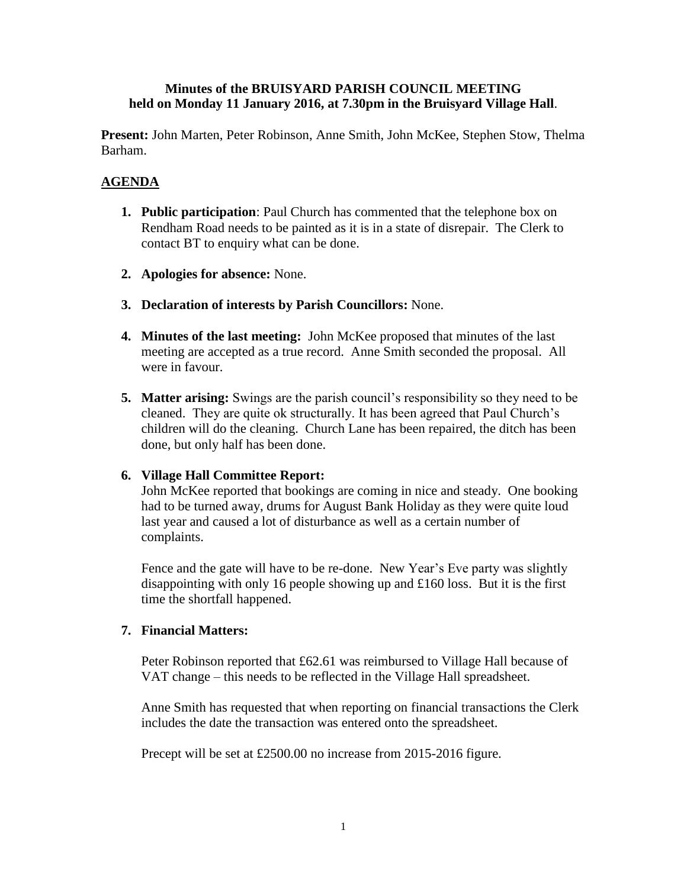#### **Minutes of the BRUISYARD PARISH COUNCIL MEETING held on Monday 11 January 2016, at 7.30pm in the Bruisyard Village Hall**.

**Present:** John Marten, Peter Robinson, Anne Smith, John McKee, Stephen Stow, Thelma Barham.

# **AGENDA**

- **1. Public participation**: Paul Church has commented that the telephone box on Rendham Road needs to be painted as it is in a state of disrepair. The Clerk to contact BT to enquiry what can be done.
- **2. Apologies for absence:** None.
- **3. Declaration of interests by Parish Councillors:** None.
- **4. Minutes of the last meeting:** John McKee proposed that minutes of the last meeting are accepted as a true record. Anne Smith seconded the proposal. All were in favour.
- **5. Matter arising:** Swings are the parish council's responsibility so they need to be cleaned. They are quite ok structurally. It has been agreed that Paul Church's children will do the cleaning. Church Lane has been repaired, the ditch has been done, but only half has been done.

# **6. Village Hall Committee Report:**

John McKee reported that bookings are coming in nice and steady. One booking had to be turned away, drums for August Bank Holiday as they were quite loud last year and caused a lot of disturbance as well as a certain number of complaints.

Fence and the gate will have to be re-done. New Year's Eve party was slightly disappointing with only 16 people showing up and £160 loss. But it is the first time the shortfall happened.

# **7. Financial Matters:**

Peter Robinson reported that £62.61 was reimbursed to Village Hall because of VAT change – this needs to be reflected in the Village Hall spreadsheet.

Anne Smith has requested that when reporting on financial transactions the Clerk includes the date the transaction was entered onto the spreadsheet.

Precept will be set at £2500.00 no increase from 2015-2016 figure.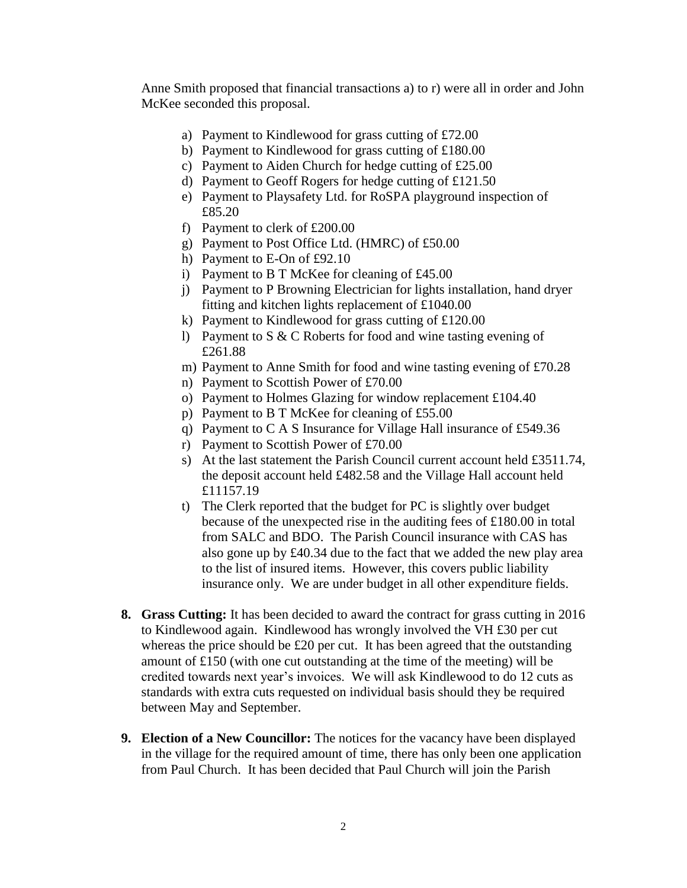Anne Smith proposed that financial transactions a) to r) were all in order and John McKee seconded this proposal.

- a) Payment to Kindlewood for grass cutting of £72.00
- b) Payment to Kindlewood for grass cutting of £180.00
- c) Payment to Aiden Church for hedge cutting of £25.00
- d) Payment to Geoff Rogers for hedge cutting of £121.50
- e) Payment to Playsafety Ltd. for RoSPA playground inspection of £85.20
- f) Payment to clerk of £200.00
- g) Payment to Post Office Ltd. (HMRC) of £50.00
- h) Payment to E-On of £92.10
- i) Payment to B T McKee for cleaning of £45.00
- j) Payment to P Browning Electrician for lights installation, hand dryer fitting and kitchen lights replacement of £1040.00
- k) Payment to Kindlewood for grass cutting of £120.00
- l) Payment to S & C Roberts for food and wine tasting evening of £261.88
- m) Payment to Anne Smith for food and wine tasting evening of £70.28
- n) Payment to Scottish Power of £70.00
- o) Payment to Holmes Glazing for window replacement £104.40
- p) Payment to B T McKee for cleaning of £55.00
- q) Payment to C A S Insurance for Village Hall insurance of £549.36
- r) Payment to Scottish Power of £70.00
- s) At the last statement the Parish Council current account held £3511.74, the deposit account held £482.58 and the Village Hall account held £11157.19
- t) The Clerk reported that the budget for PC is slightly over budget because of the unexpected rise in the auditing fees of £180.00 in total from SALC and BDO. The Parish Council insurance with CAS has also gone up by £40.34 due to the fact that we added the new play area to the list of insured items. However, this covers public liability insurance only. We are under budget in all other expenditure fields.
- **8. Grass Cutting:** It has been decided to award the contract for grass cutting in 2016 to Kindlewood again. Kindlewood has wrongly involved the VH £30 per cut whereas the price should be £20 per cut. It has been agreed that the outstanding amount of £150 (with one cut outstanding at the time of the meeting) will be credited towards next year's invoices. We will ask Kindlewood to do 12 cuts as standards with extra cuts requested on individual basis should they be required between May and September.
- **9. Election of a New Councillor:** The notices for the vacancy have been displayed in the village for the required amount of time, there has only been one application from Paul Church. It has been decided that Paul Church will join the Parish